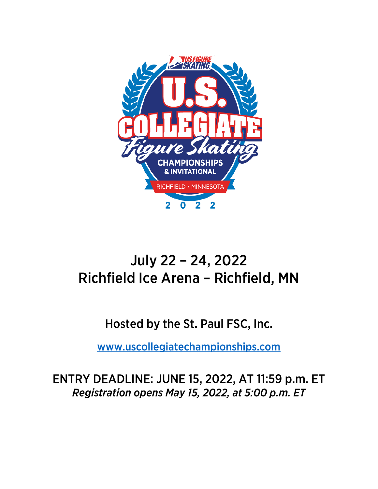

# July 22 – 24, 2022 Richfield Ice Arena – Richfield, MN

# Hosted by the St. Paul FSC, Inc.

[www.uscollegiatechampionships.com](http://www.uscollegiatechampionships.com/)

ENTRY DEADLINE: JUNE 15, 2022, AT 11:59 p.m. ET *Registration opens May 15, 2022, at 5:00 p.m. ET*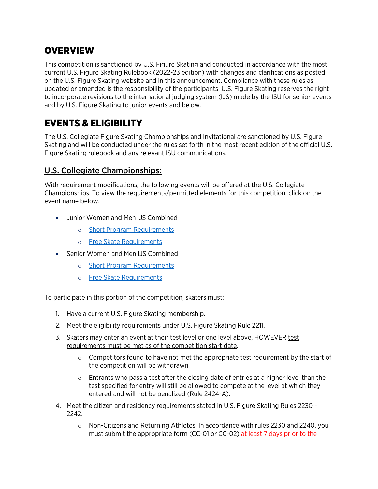### **OVERVIEW**

This competition is sanctioned by U.S. Figure Skating and conducted in accordance with the most current U.S. Figure Skating Rulebook (2022-23 edition) with changes and clarifications as posted on the U.S. Figure Skating website and in this announcement. Compliance with these rules as updated or amended is the responsibility of the participants. U.S. Figure Skating reserves the right to incorporate revisions to the international judging system (IJS) made by the ISU for senior events and by U.S. Figure Skating to junior events and below.

# EVENTS & ELIGIBILITY

The U.S. Collegiate Figure Skating Championships and Invitational are sanctioned by U.S. Figure Skating and will be conducted under the rules set forth in the most recent edition of the official U.S. Figure Skating rulebook and any relevant ISU communications.

### U.S. Collegiate Championships:

With requirement modifications, the following events will be offered at the U.S. Collegiate Championships. To view the requirements/permitted elements for this competition, click on the event name below.

- Junior Women and Men IJS Combined
	- o [Short Program Requirements](https://www.usfigureskating.org/sites/default/files/media-files/2022%20Collegiate%20Champs-Invitational%20Singles%20SP%20Chart.pdf)
	- o Free Skate [Requirements](https://www.usfigureskating.org/sites/default/files/media-files/2022-23%20Singles%20FS%20Chart.pdf)
- Senior Women and Men IJS Combined
	- o [Short Program Requirements](https://www.usfigureskating.org/sites/default/files/media-files/2022%20Collegiate%20Champs-Invitational%20Singles%20SP%20Chart.pdf)
	- o [Free Skate Requirements](https://www.usfigureskating.org/sites/default/files/media-files/2022-23%20Singles%20FS%20Chart.pdf)

To participate in this portion of the competition, skaters must:

- 1. Have a current U.S. Figure Skating membership.
- 2. Meet the eligibility requirements under U.S. Figure Skating Rule 2211.
- 3. Skaters may enter an event at their test level or one level above, HOWEVER test requirements must be met as of the competition start date.
	- $\circ$  Competitors found to have not met the appropriate test requirement by the start of the competition will be withdrawn.
	- $\circ$  Entrants who pass a test after the closing date of entries at a higher level than the test specified for entry will still be allowed to compete at the level at which they entered and will not be penalized (Rule 2424-A).
- 4. Meet the citizen and residency requirements stated in U.S. Figure Skating Rules 2230 2242.
	- o Non-Citizens and Returning Athletes: In accordance with rules 2230 and 2240, you must submit the appropriate form (CC-01 or CC-02) at least 7 days prior to the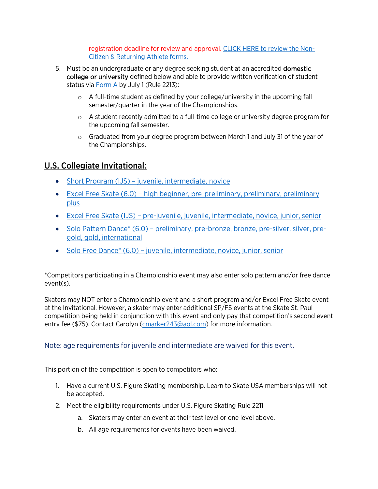registration deadline for review and approval. [CLICK HERE to review the Non-](https://www.usfigureskating.org/members-only/skater-journey/competing/qualifying)[Citizen & Returning Athlete forms.](https://www.usfigureskating.org/members-only/skater-journey/competing/qualifying) 

- 5. Must be an undergraduate or any degree seeking student at an accredited domestic college or university defined below and able to provide written verification of student status via [Form A](https://www.usfigureskating.org/sites/default/files/media-files/Form%20A%20-%20Student%20Verification.pdf) by July 1 (Rule 2213):
	- $\circ$  A full-time student as defined by your college/university in the upcoming fall semester/quarter in the year of the Championships.
	- $\circ$  A student recently admitted to a full-time college or university degree program for the upcoming fall semester.
	- $\circ$  Graduated from your degree program between March 1 and July 31 of the year of the Championships.

### U.S. Collegiate Invitational:

- [Short Program \(IJS\) juvenile, intermediate, novice](https://www.usfigureskating.org/sites/default/files/media-files/2022%20Collegiate%20Champs-Invitational%20Singles%20SP%20Chart.pdf)
- [Excel Free Skate \(6.0\) high beginner, pre-preliminary, preliminary, preliminary](https://www.usfigureskating.org/sites/default/files/media-files/2022%20Collegiate%20Champs-Invitational%20Singles%20Excel%20FS%20Chart.pdf)  [plus](https://www.usfigureskating.org/sites/default/files/media-files/2022%20Collegiate%20Champs-Invitational%20Singles%20Excel%20FS%20Chart.pdf)
- [Excel Free Skate \(IJS\) pre-juvenile, juvenile, intermediate, novice, junior, senior](https://www.usfigureskating.org/sites/default/files/media-files/2022%20Collegiate%20Champs-Invitational%20Singles%20Excel%20FS%20Chart.pdf)
- Solo Pattern Dance\* [\(6.0\) preliminary, pre-bronze, bronze, pre-silver, silver, pre](https://www.usfigureskating.org/sites/default/files/media-files/2022%20Collegiate%20Invitational%20-%20PD%20Diagrams.pdf)[gold, gold, international](https://www.usfigureskating.org/sites/default/files/media-files/2022%20Collegiate%20Invitational%20-%20PD%20Diagrams.pdf)
- Solo Free Dance<sup>\*</sup> (6.0) juvenile, intermediate, novice, junior, senior

\*Competitors participating in a Championship event may also enter solo pattern and/or free dance event(s).

Skaters may NOT enter a Championship event and a short program and/or Excel Free Skate event at the Invitational. However, a skater may enter additional SP/FS events at the Skate St. Paul competition being held in conjunction with this event and only pay that competition's second event entry fee (\$75). Contact Carolyn (cmarker 243@aol.com) for more information.

#### Note: age requirements for juvenile and intermediate are waived for this event.

This portion of the competition is open to competitors who:

- 1. Have a current U.S. Figure Skating membership. Learn to Skate USA memberships will not be accepted.
- 2. Meet the eligibility requirements under U.S. Figure Skating Rule 2211
	- a. Skaters may enter an event at their test level or one level above.
	- b. All age requirements for events have been waived.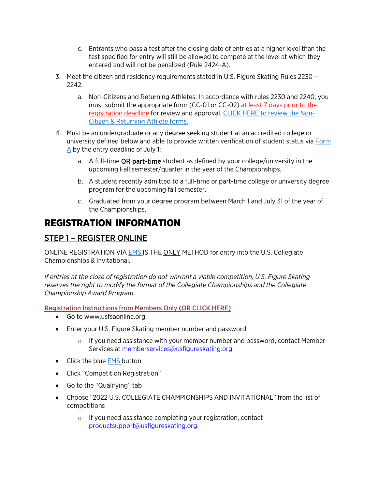- c. Entrants who pass a test after the closing date of entries at a higher level than the test specified for entry will still be allowed to compete at the level at which they entered and will not be penalized (Rule 2424-A).
- 3. Meet the citizen and residency requirements stated in U.S. Figure Skating Rules 2230 2242.
	- a. Non-Citizens and Returning Athletes: In accordance with rules 2230 and 2240, you must submit the appropriate form (CC-01 or CC-02) at least 7 days prior to the registration deadline for review and approval. [CLICK HERE to review the Non-](https://www.usfigureskating.org/members-only/skater-journey/competing/qualifying)[Citizen & Returning Athlete forms.](https://www.usfigureskating.org/members-only/skater-journey/competing/qualifying)
- 4. Must be an undergraduate or any degree seeking student at an accredited college or university defined below and able to provide written verification of student status via [Form](https://www.usfigureskating.org/sites/default/files/media-files/Form%20A%20-%20Student%20Verification.pdf)   $\triangle$  by the entry deadline of July 1:
	- a. A full-time OR part-time student as defined by your college/university in the upcoming Fall semester/quarter in the year of the Championships.
	- b. A student recently admitted to a full-time or part-time college or university degree program for the upcoming fall semester.
	- c. Graduated from your degree program between March 1 and July 31 of the year of the Championships.

### REGISTRATION INFORMATION

### STEP 1 – REGISTER ONLINE

ONLINE REGISTRATION VIA [EMS I](https://m.usfigureskating.org/competition-registration/)S THE ONLY METHOD for entry into the U.S. Collegiate Championships & Invitational.

*If entries at the close of registration do not warrant a viable competition, U.S. Figure Skating reserves the right to modify the format of the Collegiate Championships and the Collegiate Championship Award Program.* 

Registration Instructions from Members Only (OR [CLICK HERE\)](https://m.usfigureskating.org/competition/29832?id=29832)

- Go to [www.usfsaonline.org](http://www.usfsaonline.org/)
- Enter your U.S. Figure Skating member number and password
	- $\circ$  If you need assistance with your member number and password, contact Member Services at [memberservices@usfigureskating.org.](mailto:memberservices@usfigureskating.org)
- Click the blue [EMS](https://m.usfigureskating.org/competition-registration/) button
- Click "Competition Registration"
- Go to the "Qualifying" tab
- Choose "2022 U.S. COLLEGIATE CHAMPIONSHIPS AND INVITATIONAL" from the list of competitions
	- o If you need assistance completing your registration, contac[t](mailto:productsupport@usfigureskating.org) [productsupport@usfigureskating.org.](mailto:productsupport@usfigureskating.org)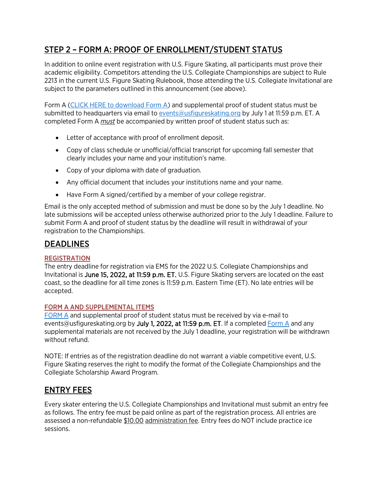### STEP 2 – FORM A: PROOF OF ENROLLMENT/STUDENT STATUS

In addition to online event registration with U.S. Figure Skating, all participants must prove their academic eligibility. Competitors attending the U.S. Collegiate Championships are subject to Rule 2213 in the current U.S. Figure Skating Rulebook, those attending the U.S. Collegiate Invitational are subject to the parameters outlined in this announcement (see above).

Form A [\(CLICK HERE to download Form A\)](https://www.usfigureskating.org/sites/default/files/media-files/Form%20A%20-%20Student%20Verification.pdf) and supplemental proof of student status must be submitted to headquarters via email t[o events@usfigureskating.org](mailto:events@usfigureskating.org) by July 1 at 11:59 p.m. ET. A completed Form A *must* be accompanied by written proof of student status such as:

- Letter of acceptance with proof of enrollment deposit.
- Copy of class schedule or unofficial/official transcript for upcoming fall semester that clearly includes your name and your institution's name.
- Copy of your diploma with date of graduation.
- Any official document that includes your institutions name and your name.
- Have Form A signed/certified by a member of your college registrar.

Email is the only accepted method of submission and must be done so by the July 1 deadline. No late submissions will be accepted unless otherwise authorized prior to the July 1 deadline. Failure to submit Form A and proof of student status by the deadline will result in withdrawal of your registration to the Championships.

#### DEADLINES

#### REGISTRATION

The entry deadline for registration via EMS for the 2022 U.S. Collegiate Championships and Invitational is June 15, 2022, at 11:59 p.m. ET. U.S. Figure Skating servers are located on the east coast, so the deadline for all time zones is 11:59 p.m. Eastern Time (ET). No late entries will be accepted.

#### FORM A AND SUPPLEMENTAL ITEMS

[FORM A](https://www.usfigureskating.org/sites/default/files/media-files/Form%20A%20-%20Student%20Verification.pdf) and supplemental proof of student status must be received by via e-mail to [events@usfigureskating.org](mailto:events@usfigureskating.org) by July 1, 2022, at 11:59 p.m. ET. If a complete[d Form A](https://www.usfigureskating.org/sites/default/files/media-files/Form%20A%20-%20Student%20Verification.pdf) and any supplemental materials are not received by the July 1 deadline, your registration will be withdrawn without refund.

NOTE: If entries as of the registration deadline do not warrant a viable competitive event, U.S. Figure Skating reserves the right to modify the format of the Collegiate Championships and the Collegiate Scholarship Award Program.

#### ENTRY FEES

Every skater entering the U.S. Collegiate Championships and Invitational must submit an entry fee as follows. The entry fee must be paid online as part of the registration process. All entries are assessed a non-refundable \$10.00 administration fee. Entry fees do NOT include practice ice sessions.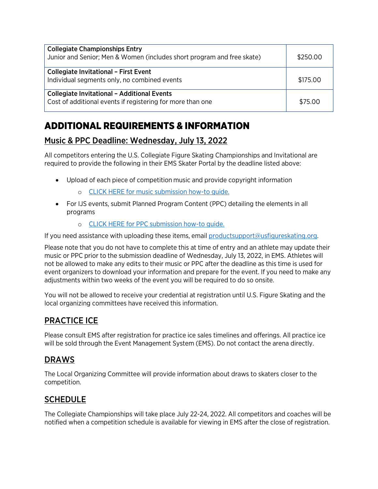| <b>Collegiate Championships Entry</b><br>Junior and Senior; Men & Women (includes short program and free skate)  | \$250.00 |
|------------------------------------------------------------------------------------------------------------------|----------|
| <b>Collegiate Invitational - First Event</b><br>Individual segments only, no combined events                     | \$175.00 |
| <b>Collegiate Invitational - Additional Events</b><br>Cost of additional events if registering for more than one | \$75.00  |

# ADDITIONAL REQUIREMENTS & INFORMATION

### Music & PPC Deadline: Wednesday, July 13, 2022

All competitors entering the U.S. Collegiate Figure Skating Championships and Invitational are required to provide the following in their EMS Skater Portal by the deadline listed above:

- Upload of each piece of competition music and provide copyright information
	- o [CLICK HERE for music submission how-to guide.](https://public.3.basecamp.com/p/ycj6D89r1GruJVv8oTSWXUqW)
- For IJS events, submit Planned Program Content (PPC) detailing the elements in all programs
	- o [CLICK HERE for PPC submission how-to guide.](https://public.3.basecamp.com/p/bJNALQ6nPYrJUH2YKAjQ2tMB)

If you need assistance with uploading these items, email [productsupport@usfigureskating.org.](mailto:productsupport@usfigureskating.org)

Please note that you do not have to complete this at time of entry and an athlete may update their music or PPC prior to the submission deadline of Wednesday, July 13, 2022, in EMS. Athletes will not be allowed to make any edits to their music or PPC after the deadline as this time is used for event organizers to download your information and prepare for the event. If you need to make any adjustments within two weeks of the event you will be required to do so onsite.

You will not be allowed to receive your credential at registration until U.S. Figure Skating and the local organizing committees have received this information.

#### PRACTICE ICE

Please consult EMS after registration for practice ice sales timelines and offerings. All practice ice will be sold through the Event Management System (EMS). Do not contact the arena directly.

### DRAWS

The Local Organizing Committee will provide information about draws to skaters closer to the competition.

### **SCHEDULE**

The Collegiate Championships will take place July 22-24, 2022. All competitors and coaches will be notified when a competition schedule is available for viewing in EMS after the close of registration.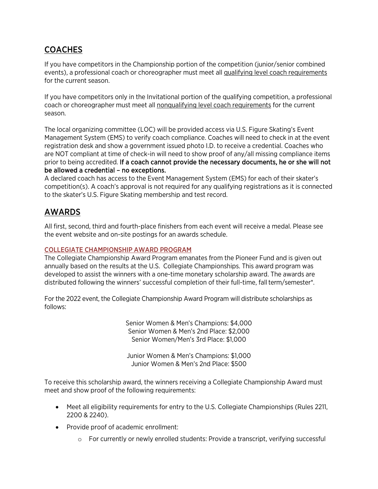### COACHES

If you have competitors in the Championship portion of the competition (junior/senior combined events), a professional coach or choreographer must meet all qualifying level coach requirements for the current season.

If you have competitors only in the Invitational portion of the qualifying competition, a professional coach or choreographer must meet all nonqualifying level coach requirements for the current season.

The local organizing committee (LOC) will be provided access via U.S. Figure Skating's Event Management System (EMS) to verify coach compliance. Coaches will need to check in at the event registration desk and show a government issued photo I.D. to receive a credential. Coaches who are NOT compliant at time of check-in will need to show proof of any/all missing compliance items prior to being accredited. If a coach cannot provide the necessary documents, he or she will not be allowed a credential – no exceptions.

A declared coach has access to the Event Management System (EMS) for each of their skater's competition(s). A coach's approval is not required for any qualifying registrations as it is connected to the skater's U.S. Figure Skating membership and test record.

### AWARDS

All first, second, third and fourth-place finishers from each event will receive a medal. Please see the event website and on-site postings for an awards schedule.

#### COLLEGIATE CHAMPIONSHIP AWARD PROGRAM

The Collegiate Championship Award Program emanates from the Pioneer Fund and is given out annually based on the results at the U.S. Collegiate Championships. This award program was developed to assist the winners with a one-time monetary scholarship award. The awards are distributed following the winners' successful completion of their full-time, fall term/semester\*.

For the 2022 event, the Collegiate Championship Award Program will distribute scholarships as follows:

> Senior Women & Men's Champions: \$4,000 Senior Women & Men's 2nd Place: \$2,000 Senior Women/Men's 3rd Place: \$1,000

Junior Women & Men's Champions: \$1,000 Junior Women & Men's 2nd Place: \$500

To receive this scholarship award, the winners receiving a Collegiate Championship Award must meet and show proof of the following requirements:

- Meet all eligibility requirements for entry to the U.S. Collegiate Championships (Rules 2211, 2200 & 2240).
- Provide proof of academic enrollment:
	- o For currently or newly enrolled students: Provide a transcript, verifying successful